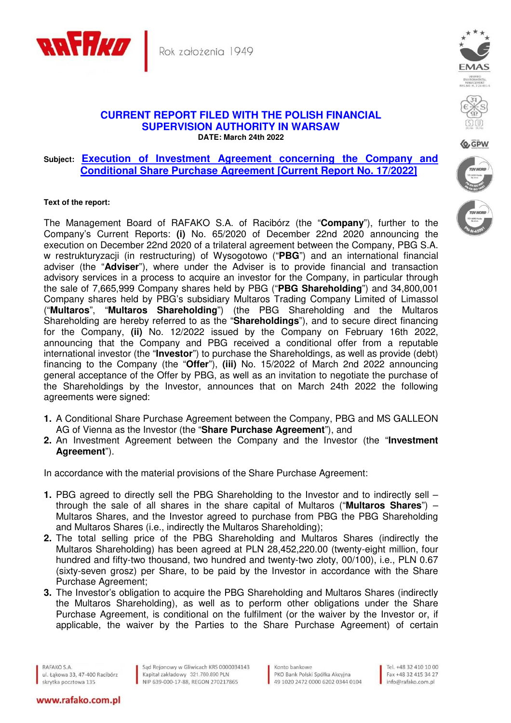



Q GPV

## **CURRENT REPORT FILED WITH THE POLISH FINANCIAL SUPERVISION AUTHORITY IN WARSAW DATE: March 24th 2022**

## **Subject: Execution of Investment Agreement concerning the Company and Conditional Share Purchase Agreement [Current Report No. 17/2022]**

## **Text of the report:**

The Management Board of RAFAKO S.A. of Racibórz (the "**Company**"), further to the Company's Current Reports: **(i)** No. 65/2020 of December 22nd 2020 announcing the execution on December 22nd 2020 of a trilateral agreement between the Company, PBG S.A. w restrukturyzacji (in restructuring) of Wysogotowo ("**PBG**") and an international financial adviser (the "**Adviser**"), where under the Adviser is to provide financial and transaction advisory services in a process to acquire an investor for the Company, in particular through the sale of 7,665,999 Company shares held by PBG ("**PBG Shareholding**") and 34,800,001 Company shares held by PBG's subsidiary Multaros Trading Company Limited of Limassol ("**Multaros**", "**Multaros Shareholding**") (the PBG Shareholding and the Multaros Shareholding are hereby referred to as the "**Shareholdings**"), and to secure direct financing for the Company, **(ii)** No. 12/2022 issued by the Company on February 16th 2022, announcing that the Company and PBG received a conditional offer from a reputable international investor (the "**Investor**") to purchase the Shareholdings, as well as provide (debt) financing to the Company (the "**Offer**"), **(iii)** No. 15/2022 of March 2nd 2022 announcing general acceptance of the Offer by PBG, as well as an invitation to negotiate the purchase of the Shareholdings by the Investor, announces that on March 24th 2022 the following agreements were signed:

- **1.** A Conditional Share Purchase Agreement between the Company, PBG and MS GALLEON AG of Vienna as the Investor (the "**Share Purchase Agreement**"), and
- **2.** An Investment Agreement between the Company and the Investor (the "**Investment Agreement**").

In accordance with the material provisions of the Share Purchase Agreement:

- **1.** PBG agreed to directly sell the PBG Shareholding to the Investor and to indirectly sell through the sale of all shares in the share capital of Multaros ("**Multaros Shares**") – Multaros Shares, and the Investor agreed to purchase from PBG the PBG Shareholding and Multaros Shares (i.e., indirectly the Multaros Shareholding);
- **2.** The total selling price of the PBG Shareholding and Multaros Shares (indirectly the Multaros Shareholding) has been agreed at PLN 28,452,220.00 (twenty-eight million, four hundred and fifty-two thousand, two hundred and twenty-two złoty, 00/100), i.e., PLN 0.67 (sixty-seven grosz) per Share, to be paid by the Investor in accordance with the Share Purchase Agreement;
- **3.** The Investor's obligation to acquire the PBG Shareholding and Multaros Shares (indirectly the Multaros Shareholding), as well as to perform other obligations under the Share Purchase Agreement, is conditional on the fulfilment (or the waiver by the Investor or, if applicable, the waiver by the Parties to the Share Purchase Agreement) of certain

RAFAKO S.A. ul. Łąkowa 33, 47-400 Racibórz skrytka pocztowa 135

www.rafako.com.pl

Sąd Rejonowy w Gliwicach KRS 0000034143 Kapitał zakładowy 321.760.890 PLN Kapitał zakładowy 321.760.890 PLN<br>NIP 639-000-17-88, REGON 270217865

Konto bankowe PKO Bank Polski Spółka Akcyjna 49 1020 2472 0000 6202 0344 0104

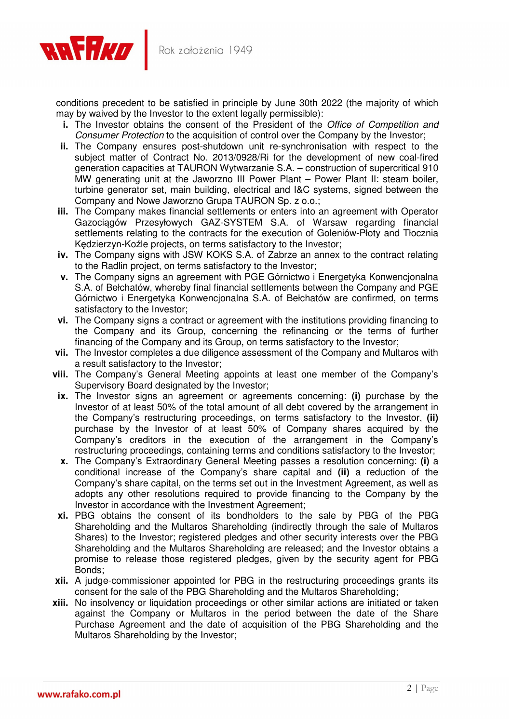

conditions precedent to be satisfied in principle by June 30th 2022 (the majority of which may by waived by the Investor to the extent legally permissible):

- **i.** The Investor obtains the consent of the President of the *Office of Competition and* Consumer Protection to the acquisition of control over the Company by the Investor;
- **ii.** The Company ensures post-shutdown unit re-synchronisation with respect to the subject matter of Contract No. 2013/0928/Ri for the development of new coal-fired generation capacities at TAURON Wytwarzanie S.A. – construction of supercritical 910 MW generating unit at the Jaworzno III Power Plant – Power Plant II: steam boiler, turbine generator set, main building, electrical and I&C systems, signed between the Company and Nowe Jaworzno Grupa TAURON Sp. z o.o.;
- **iii.** The Company makes financial settlements or enters into an agreement with Operator Gazociągów Przesyłowych GAZ-SYSTEM S.A. of Warsaw regarding financial settlements relating to the contracts for the execution of Goleniów-Płoty and Tłocznia Kędzierzyn-Koźle projects, on terms satisfactory to the Investor;
- **iv.** The Company signs with JSW KOKS S.A. of Zabrze an annex to the contract relating to the Radlin project, on terms satisfactory to the Investor;
- **v.** The Company signs an agreement with PGE Górnictwo i Energetyka Konwencjonalna S.A. of Bełchatów, whereby final financial settlements between the Company and PGE Górnictwo i Energetyka Konwencjonalna S.A. of Bełchatów are confirmed, on terms satisfactory to the Investor;
- **vi.** The Company signs a contract or agreement with the institutions providing financing to the Company and its Group, concerning the refinancing or the terms of further financing of the Company and its Group, on terms satisfactory to the Investor;
- **vii.** The Investor completes a due diligence assessment of the Company and Multaros with a result satisfactory to the Investor;
- **viii.** The Company's General Meeting appoints at least one member of the Company's Supervisory Board designated by the Investor;
- **ix.** The Investor signs an agreement or agreements concerning: **(i)** purchase by the Investor of at least 50% of the total amount of all debt covered by the arrangement in the Company's restructuring proceedings, on terms satisfactory to the Investor, **(ii)** purchase by the Investor of at least 50% of Company shares acquired by the Company's creditors in the execution of the arrangement in the Company's restructuring proceedings, containing terms and conditions satisfactory to the Investor;
- **x.** The Company's Extraordinary General Meeting passes a resolution concerning: **(i)** a conditional increase of the Company's share capital and **(ii)** a reduction of the Company's share capital, on the terms set out in the Investment Agreement, as well as adopts any other resolutions required to provide financing to the Company by the Investor in accordance with the Investment Agreement;
- **xi.** PBG obtains the consent of its bondholders to the sale by PBG of the PBG Shareholding and the Multaros Shareholding (indirectly through the sale of Multaros Shares) to the Investor; registered pledges and other security interests over the PBG Shareholding and the Multaros Shareholding are released; and the Investor obtains a promise to release those registered pledges, given by the security agent for PBG Bonds;
- **xii.** A judge-commissioner appointed for PBG in the restructuring proceedings grants its consent for the sale of the PBG Shareholding and the Multaros Shareholding;
- **xiii.** No insolvency or liquidation proceedings or other similar actions are initiated or taken against the Company or Multaros in the period between the date of the Share Purchase Agreement and the date of acquisition of the PBG Shareholding and the Multaros Shareholding by the Investor;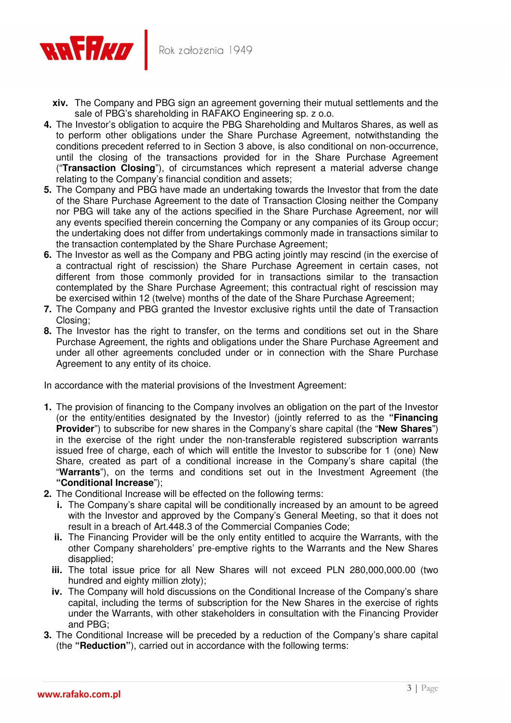

- **xiv.** The Company and PBG sign an agreement governing their mutual settlements and the sale of PBG's shareholding in RAFAKO Engineering sp. z o.o.
- **4.** The Investor's obligation to acquire the PBG Shareholding and Multaros Shares, as well as to perform other obligations under the Share Purchase Agreement, notwithstanding the conditions precedent referred to in Section 3 above, is also conditional on non-occurrence, until the closing of the transactions provided for in the Share Purchase Agreement ("**Transaction Closing**"), of circumstances which represent a material adverse change relating to the Company's financial condition and assets;
- **5.** The Company and PBG have made an undertaking towards the Investor that from the date of the Share Purchase Agreement to the date of Transaction Closing neither the Company nor PBG will take any of the actions specified in the Share Purchase Agreement, nor will any events specified therein concerning the Company or any companies of its Group occur; the undertaking does not differ from undertakings commonly made in transactions similar to the transaction contemplated by the Share Purchase Agreement;
- **6.** The Investor as well as the Company and PBG acting jointly may rescind (in the exercise of a contractual right of rescission) the Share Purchase Agreement in certain cases, not different from those commonly provided for in transactions similar to the transaction contemplated by the Share Purchase Agreement; this contractual right of rescission may be exercised within 12 (twelve) months of the date of the Share Purchase Agreement;
- **7.** The Company and PBG granted the Investor exclusive rights until the date of Transaction Closing;
- **8.** The Investor has the right to transfer, on the terms and conditions set out in the Share Purchase Agreement, the rights and obligations under the Share Purchase Agreement and under all other agreements concluded under or in connection with the Share Purchase Agreement to any entity of its choice.

In accordance with the material provisions of the Investment Agreement:

- **1.** The provision of financing to the Company involves an obligation on the part of the Investor (or the entity/entities designated by the Investor) (jointly referred to as the **"Financing Provider**") to subscribe for new shares in the Company's share capital (the "**New Shares**") in the exercise of the right under the non-transferable registered subscription warrants issued free of charge, each of which will entitle the Investor to subscribe for 1 (one) New Share, created as part of a conditional increase in the Company's share capital (the "**Warrants**"), on the terms and conditions set out in the Investment Agreement (the **"Conditional Increase**");
- **2.** The Conditional Increase will be effected on the following terms:
	- **i.** The Company's share capital will be conditionally increased by an amount to be agreed with the Investor and approved by the Company's General Meeting, so that it does not result in a breach of Art.448.3 of the Commercial Companies Code;
	- **ii.** The Financing Provider will be the only entity entitled to acquire the Warrants, with the other Company shareholders' pre-emptive rights to the Warrants and the New Shares disapplied;
	- **iii.** The total issue price for all New Shares will not exceed PLN 280,000,000.00 (two hundred and eighty million złoty);
	- **iv.** The Company will hold discussions on the Conditional Increase of the Company's share capital, including the terms of subscription for the New Shares in the exercise of rights under the Warrants, with other stakeholders in consultation with the Financing Provider and PBG;
- **3.** The Conditional Increase will be preceded by a reduction of the Company's share capital (the **"Reduction"**), carried out in accordance with the following terms: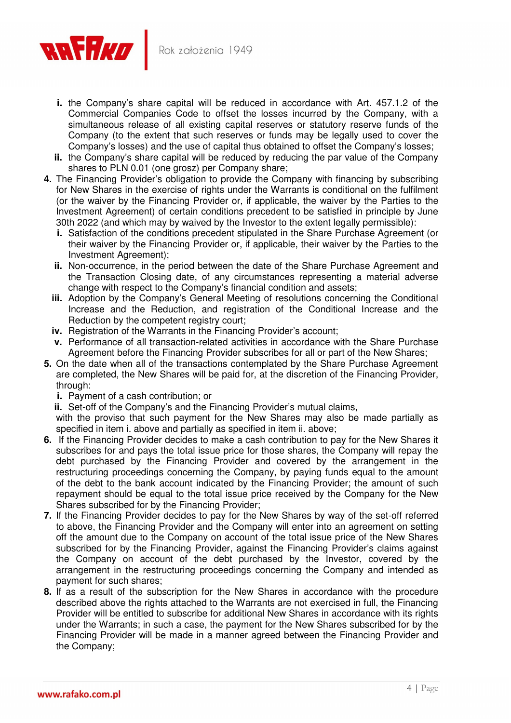

- **i.** the Company's share capital will be reduced in accordance with Art. 457.1.2 of the Commercial Companies Code to offset the losses incurred by the Company, with a simultaneous release of all existing capital reserves or statutory reserve funds of the Company (to the extent that such reserves or funds may be legally used to cover the Company's losses) and the use of capital thus obtained to offset the Company's losses;
- **ii.** the Company's share capital will be reduced by reducing the par value of the Company shares to PLN 0.01 (one grosz) per Company share;
- **4.** The Financing Provider's obligation to provide the Company with financing by subscribing for New Shares in the exercise of rights under the Warrants is conditional on the fulfilment (or the waiver by the Financing Provider or, if applicable, the waiver by the Parties to the Investment Agreement) of certain conditions precedent to be satisfied in principle by June 30th 2022 (and which may by waived by the Investor to the extent legally permissible):
	- **i.** Satisfaction of the conditions precedent stipulated in the Share Purchase Agreement (or their waiver by the Financing Provider or, if applicable, their waiver by the Parties to the Investment Agreement);
	- **ii.** Non-occurrence, in the period between the date of the Share Purchase Agreement and the Transaction Closing date, of any circumstances representing a material adverse change with respect to the Company's financial condition and assets;
	- **iii.** Adoption by the Company's General Meeting of resolutions concerning the Conditional Increase and the Reduction, and registration of the Conditional Increase and the Reduction by the competent registry court;
	- **iv.** Registration of the Warrants in the Financing Provider's account;
	- **v.** Performance of all transaction-related activities in accordance with the Share Purchase Agreement before the Financing Provider subscribes for all or part of the New Shares;
- **5.** On the date when all of the transactions contemplated by the Share Purchase Agreement are completed, the New Shares will be paid for, at the discretion of the Financing Provider, through:
	- **i.** Payment of a cash contribution; or

**ii.** Set-off of the Company's and the Financing Provider's mutual claims,

with the proviso that such payment for the New Shares may also be made partially as specified in item i. above and partially as specified in item ii. above;

- **6.** If the Financing Provider decides to make a cash contribution to pay for the New Shares it subscribes for and pays the total issue price for those shares, the Company will repay the debt purchased by the Financing Provider and covered by the arrangement in the restructuring proceedings concerning the Company, by paying funds equal to the amount of the debt to the bank account indicated by the Financing Provider; the amount of such repayment should be equal to the total issue price received by the Company for the New Shares subscribed for by the Financing Provider;
- **7.** If the Financing Provider decides to pay for the New Shares by way of the set-off referred to above, the Financing Provider and the Company will enter into an agreement on setting off the amount due to the Company on account of the total issue price of the New Shares subscribed for by the Financing Provider, against the Financing Provider's claims against the Company on account of the debt purchased by the Investor, covered by the arrangement in the restructuring proceedings concerning the Company and intended as payment for such shares;
- **8.** If as a result of the subscription for the New Shares in accordance with the procedure described above the rights attached to the Warrants are not exercised in full, the Financing Provider will be entitled to subscribe for additional New Shares in accordance with its rights under the Warrants; in such a case, the payment for the New Shares subscribed for by the Financing Provider will be made in a manner agreed between the Financing Provider and the Company;